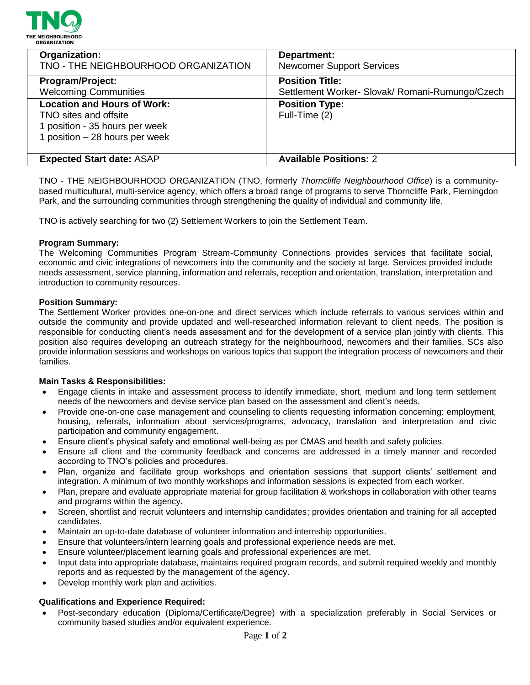

| Organization:<br>TNO - THE NEIGHBOURHOOD ORGANIZATION             | Department:<br><b>Newcomer Support Services</b>                          |
|-------------------------------------------------------------------|--------------------------------------------------------------------------|
| Program/Project:<br><b>Welcoming Communities</b>                  | <b>Position Title:</b>                                                   |
| <b>Location and Hours of Work:</b>                                | Settlement Worker- Slovak/ Romani-Rumungo/Czech<br><b>Position Type:</b> |
| TNO sites and offsite                                             | Full-Time (2)                                                            |
| 1 position - 35 hours per week<br>1 position $-28$ hours per week |                                                                          |
|                                                                   |                                                                          |
| <b>Expected Start date: ASAP</b>                                  | <b>Available Positions: 2</b>                                            |

TNO - THE NEIGHBOURHOOD ORGANIZATION (TNO, formerly *Thorncliffe Neighbourhood Office*) is a communitybased multicultural, multi-service agency, which offers a broad range of programs to serve Thorncliffe Park, Flemingdon Park, and the surrounding communities through strengthening the quality of individual and community life.

TNO is actively searching for two (2) Settlement Workers to join the Settlement Team.

### **Program Summary:**

The Welcoming Communities Program Stream-Community Connections provides services that facilitate social, economic and civic integrations of newcomers into the community and the society at large. Services provided include needs assessment, service planning, information and referrals, reception and orientation, translation, interpretation and introduction to community resources.

### **Position Summary:**

The Settlement Worker provides one-on-one and direct services which include referrals to various services within and outside the community and provide updated and well-researched information relevant to client needs. The position is responsible for conducting client's needs assessment and for the development of a service plan jointly with clients. This position also requires developing an outreach strategy for the neighbourhood, newcomers and their families. SCs also provide information sessions and workshops on various topics that support the integration process of newcomers and their families.

#### **Main Tasks & Responsibilities:**

- Engage clients in intake and assessment process to identify immediate, short, medium and long term settlement needs of the newcomers and devise service plan based on the assessment and client's needs.
- Provide one-on-one case management and counseling to clients requesting information concerning: employment, housing, referrals, information about services/programs, advocacy, translation and interpretation and civic participation and community engagement.
- Ensure client's physical safety and emotional well-being as per CMAS and health and safety policies.
- Ensure all client and the community feedback and concerns are addressed in a timely manner and recorded according to TNO's policies and procedures.
- Plan, organize and facilitate group workshops and orientation sessions that support clients' settlement and integration. A minimum of two monthly workshops and information sessions is expected from each worker.
- Plan, prepare and evaluate appropriate material for group facilitation & workshops in collaboration with other teams and programs within the agency.
- Screen, shortlist and recruit volunteers and internship candidates; provides orientation and training for all accepted candidates.
- Maintain an up-to-date database of volunteer information and internship opportunities.
- Ensure that volunteers/intern learning goals and professional experience needs are met.
- Ensure volunteer/placement learning goals and professional experiences are met.
- Input data into appropriate database, maintains required program records, and submit required weekly and monthly reports and as requested by the management of the agency.
- Develop monthly work plan and activities.

## **Qualifications and Experience Required:**

 Post-secondary education (Diploma/Certificate/Degree) with a specialization preferably in Social Services or community based studies and/or equivalent experience.